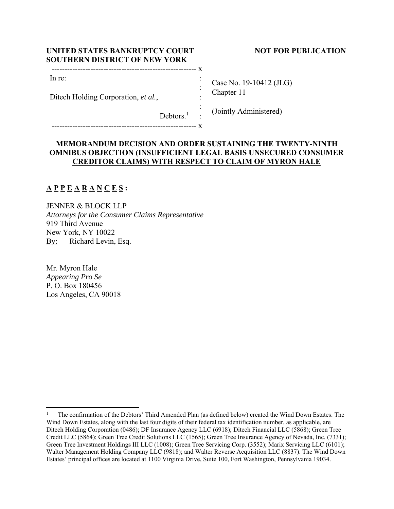| UNITED STATES BANKRUPTCY COURT<br><b>SOUTHERN DISTRICT OF NEW YORK</b> |  |         |
|------------------------------------------------------------------------|--|---------|
| In re:                                                                 |  | Case No |
| Ditech Holding Corporation, et al.,                                    |  | Chapter |

## **NOT FOR PUBLICATION**

o. 19-10412 (JLG) Chapter 11

Debtors.<sup>1</sup> : : (Jointly Administered)

-------------------------------------------------------- x

# **MEMORANDUM DECISION AND ORDER SUSTAINING THE TWENTY-NINTH OMNIBUS OBJECTION (INSUFFICIENT LEGAL BASIS UNSECURED CONSUMER CREDITOR CLAIMS) WITH RESPECT TO CLAIM OF MYRON HALE**

# **A P P E A R A N C E S :**

JENNER & BLOCK LLP *Attorneys for the Consumer Claims Representative*  919 Third Avenue New York, NY 10022 By: Richard Levin, Esq.

Mr. Myron Hale *Appearing Pro Se*  P. O. Box 180456 Los Angeles, CA 90018

<sup>1</sup> The confirmation of the Debtors' Third Amended Plan (as defined below) created the Wind Down Estates. The Wind Down Estates, along with the last four digits of their federal tax identification number, as applicable, are Ditech Holding Corporation (0486); DF Insurance Agency LLC (6918); Ditech Financial LLC (5868); Green Tree Credit LLC (5864); Green Tree Credit Solutions LLC (1565); Green Tree Insurance Agency of Nevada, Inc. (7331); Green Tree Investment Holdings III LLC (1008); Green Tree Servicing Corp. (3552); Marix Servicing LLC (6101); Walter Management Holding Company LLC (9818); and Walter Reverse Acquisition LLC (8837). The Wind Down Estates' principal offices are located at 1100 Virginia Drive, Suite 100, Fort Washington, Pennsylvania 19034.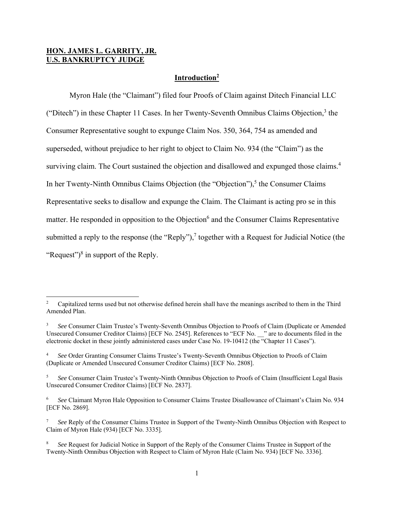## **HON. JAMES L. GARRITY, JR. U.S. BANKRUPTCY JUDGE**

## **Introduction2**

 Myron Hale (the "Claimant") filed four Proofs of Claim against Ditech Financial LLC ("Ditech") in these Chapter 11 Cases. In her Twenty-Seventh Omnibus Claims Objection,<sup>3</sup> the Consumer Representative sought to expunge Claim Nos. 350, 364, 754 as amended and superseded, without prejudice to her right to object to Claim No. 934 (the "Claim") as the surviving claim. The Court sustained the objection and disallowed and expunged those claims.<sup>4</sup> In her Twenty-Ninth Omnibus Claims Objection (the "Objection"),<sup>5</sup> the Consumer Claims Representative seeks to disallow and expunge the Claim. The Claimant is acting pro se in this matter. He responded in opposition to the Objection<sup>6</sup> and the Consumer Claims Representative submitted a reply to the response (the "Reply"),<sup>7</sup> together with a Request for Judicial Notice (the "Request") $\delta$  in support of the Reply.

<sup>2</sup> Capitalized terms used but not otherwise defined herein shall have the meanings ascribed to them in the Third Amended Plan.

<sup>3</sup> *See* Consumer Claim Trustee's Twenty-Seventh Omnibus Objection to Proofs of Claim (Duplicate or Amended Unsecured Consumer Creditor Claims) [ECF No. 2545]. References to "ECF No. \_\_" are to documents filed in the electronic docket in these jointly administered cases under Case No. 19-10412 (the "Chapter 11 Cases").

<sup>4</sup> *See* Order Granting Consumer Claims Trustee's Twenty-Seventh Omnibus Objection to Proofs of Claim (Duplicate or Amended Unsecured Consumer Creditor Claims) [ECF No. 2808].

<sup>5</sup> *See* Consumer Claim Trustee's Twenty-Ninth Omnibus Objection to Proofs of Claim (Insufficient Legal Basis Unsecured Consumer Creditor Claims) [ECF No. 2837].

<sup>6</sup> *See* Claimant Myron Hale Opposition to Consumer Claims Trustee Disallowance of Claimant's Claim No. 934 [ECF No. 2869].

<sup>7</sup> *See* Reply of the Consumer Claims Trustee in Support of the Twenty-Ninth Omnibus Objection with Respect to Claim of Myron Hale (934) [ECF No. 3335].

<sup>8</sup> *See* Request for Judicial Notice in Support of the Reply of the Consumer Claims Trustee in Support of the Twenty-Ninth Omnibus Objection with Respect to Claim of Myron Hale (Claim No. 934) [ECF No. 3336].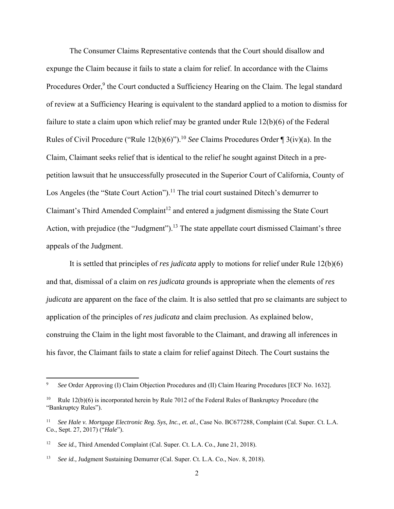The Consumer Claims Representative contends that the Court should disallow and expunge the Claim because it fails to state a claim for relief. In accordance with the Claims Procedures Order,<sup>9</sup> the Court conducted a Sufficiency Hearing on the Claim. The legal standard of review at a Sufficiency Hearing is equivalent to the standard applied to a motion to dismiss for failure to state a claim upon which relief may be granted under Rule 12(b)(6) of the Federal Rules of Civil Procedure ("Rule 12(b)(6)").10 *See* Claims Procedures Order ¶ 3(iv)(a). In the Claim, Claimant seeks relief that is identical to the relief he sought against Ditech in a prepetition lawsuit that he unsuccessfully prosecuted in the Superior Court of California, County of Los Angeles (the "State Court Action").<sup>11</sup> The trial court sustained Ditech's demurrer to Claimant's Third Amended Complaint<sup>12</sup> and entered a judgment dismissing the State Court Action, with prejudice (the "Judgment").<sup>13</sup> The state appellate court dismissed Claimant's three appeals of the Judgment.

 It is settled that principles of *res judicata* apply to motions for relief under Rule 12(b)(6) and that, dismissal of a claim on *res judicata* grounds is appropriate when the elements of *res judicata* are apparent on the face of the claim. It is also settled that pro se claimants are subject to application of the principles of *res judicata* and claim preclusion. As explained below, construing the Claim in the light most favorable to the Claimant, and drawing all inferences in his favor, the Claimant fails to state a claim for relief against Ditech. The Court sustains the

<sup>9</sup> *See* Order Approving (I) Claim Objection Procedures and (II) Claim Hearing Procedures [ECF No. 1632].

<sup>&</sup>lt;sup>10</sup> Rule 12(b)(6) is incorporated herein by Rule 7012 of the Federal Rules of Bankruptcy Procedure (the "Bankruptcy Rules").

<sup>11</sup> *See Hale v. Mortgage Electronic Reg. Sys, Inc., et. al.*, Case No. BC677288, Complaint (Cal. Super. Ct. L.A. Co., Sept. 27, 2017) ("*Hale*").

<sup>&</sup>lt;sup>12</sup> *See id., Third Amended Complaint (Cal. Super. Ct. L.A. Co., June 21, 2018).* 

<sup>&</sup>lt;sup>13</sup> *See id., Judgment Sustaining Demurrer (Cal. Super. Ct. L.A. Co., Nov. 8, 2018).*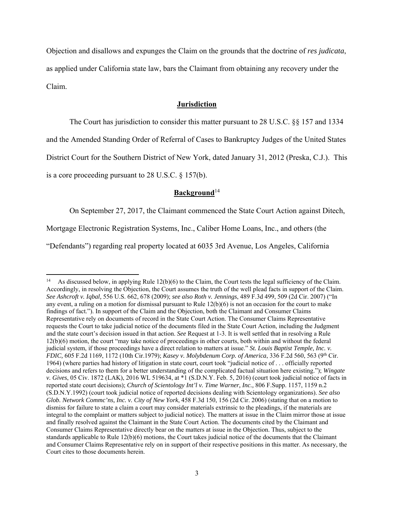Objection and disallows and expunges the Claim on the grounds that the doctrine of *res judicata*, as applied under California state law, bars the Claimant from obtaining any recovery under the Claim.

#### **Jurisdiction**

The Court has jurisdiction to consider this matter pursuant to 28 U.S.C. §§ 157 and 1334

and the Amended Standing Order of Referral of Cases to Bankruptcy Judges of the United States

District Court for the Southern District of New York, dated January 31, 2012 (Preska, C.J.). This

is a core proceeding pursuant to 28 U.S.C. § 157(b).

# **Background**<sup>14</sup>

On September 27, 2017, the Claimant commenced the State Court Action against Ditech,

Mortgage Electronic Registration Systems, Inc., Caliber Home Loans, Inc., and others (the

"Defendants") regarding real property located at 6035 3rd Avenue, Los Angeles, California

As discussed below, in applying Rule  $12(b)(6)$  to the Claim, the Court tests the legal sufficiency of the Claim. Accordingly, in resolving the Objection, the Court assumes the truth of the well plead facts in support of the Claim. *See Ashcroft v. Iqbal,* 556 U.S. 662, 678 (2009); *see also Roth v. Jennings*, 489 F.3d 499, 509 (2d Cir. 2007) ("In any event, a ruling on a motion for dismissal pursuant to Rule 12(b)(6) is not an occasion for the court to make findings of fact."). In support of the Claim and the Objection, both the Claimant and Consumer Claims Representative rely on documents of record in the State Court Action. The Consumer Claims Representative requests the Court to take judicial notice of the documents filed in the State Court Action, including the Judgment and the state court's decision issued in that action. *See* Request at 1-3. It is well settled that in resolving a Rule 12(b)(6) motion, the court "may take notice of proceedings in other courts, both within and without the federal judicial system, if those proceedings have a direct relation to matters at issue." *St. Louis Baptist Temple, Inc. v. FDIC,* 605 F.2d 1169, 1172 (10th Cir.1979); *Kasey v. Molybdenum Corp. of America*, 336 F.2d 560, 563 (9th Cir. 1964) (where parties had history of litigation in state court, court took "judicial notice of . . . officially reported decisions and refers to them for a better understanding of the complicated factual situation here existing."); *Wingate v. Gives*, 05 Civ. 1872 (LAK), 2016 WL 519634, at \*1 (S.D.N.Y. Feb. 5, 2016) (court took judicial notice of facts in reported state court decisions); *Church of Scientology Int'l v. Time Warner, Inc.,* 806 F.Supp. 1157, 1159 n.2 (S.D.N.Y.1992) (court took judicial notice of reported decisions dealing with Scientology organizations). *See also Glob. Network Commc'ns, Inc. v. City of New York*, 458 F.3d 150, 156 (2d Cir. 2006) (stating that on a motion to dismiss for failure to state a claim a court may consider materials extrinsic to the pleadings, if the materials are integral to the complaint or matters subject to judicial notice). The matters at issue in the Claim mirror those at issue and finally resolved against the Claimant in the State Court Action. The documents cited by the Claimant and Consumer Claims Representative directly bear on the matters at issue in the Objection. Thus, subject to the standards applicable to Rule 12(b)(6) motions, the Court takes judicial notice of the documents that the Claimant and Consumer Claims Representative rely on in support of their respective positions in this matter. As necessary, the Court cites to those documents herein.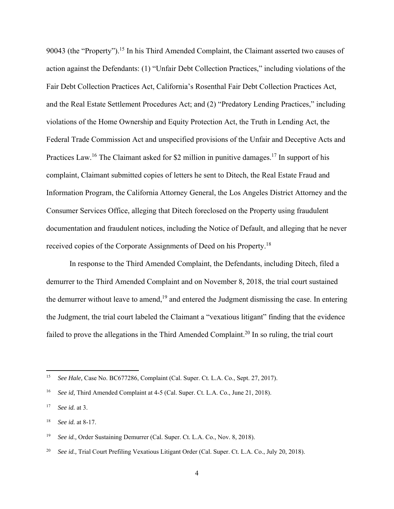90043 (the "Property").<sup>15</sup> In his Third Amended Complaint, the Claimant asserted two causes of action against the Defendants: (1) "Unfair Debt Collection Practices," including violations of the Fair Debt Collection Practices Act, California's Rosenthal Fair Debt Collection Practices Act, and the Real Estate Settlement Procedures Act; and (2) "Predatory Lending Practices," including violations of the Home Ownership and Equity Protection Act, the Truth in Lending Act, the Federal Trade Commission Act and unspecified provisions of the Unfair and Deceptive Acts and Practices Law.<sup>16</sup> The Claimant asked for \$2 million in punitive damages.<sup>17</sup> In support of his complaint, Claimant submitted copies of letters he sent to Ditech, the Real Estate Fraud and Information Program, the California Attorney General, the Los Angeles District Attorney and the Consumer Services Office, alleging that Ditech foreclosed on the Property using fraudulent documentation and fraudulent notices, including the Notice of Default, and alleging that he never received copies of the Corporate Assignments of Deed on his Property.18

 In response to the Third Amended Complaint, the Defendants, including Ditech, filed a demurrer to the Third Amended Complaint and on November 8, 2018, the trial court sustained the demurrer without leave to amend, $19$  and entered the Judgment dismissing the case. In entering the Judgment, the trial court labeled the Claimant a "vexatious litigant" finding that the evidence failed to prove the allegations in the Third Amended Complaint.<sup>20</sup> In so ruling, the trial court

<sup>15</sup> *See Hale,* Case No. BC677286, Complaint (Cal. Super. Ct. L.A. Co., Sept. 27, 2017).

<sup>&</sup>lt;sup>16</sup> *See id*, Third Amended Complaint at 4-5 (Cal. Super. Ct. L.A. Co., June 21, 2018).

<sup>17</sup> *See id.* at 3.

<sup>18</sup> *See id.* at 8-17.

<sup>&</sup>lt;sup>19</sup> *See id., Order Sustaining Demurrer (Cal. Super. Ct. L.A. Co., Nov. 8, 2018).* 

<sup>20</sup> *See id.,* Trial Court Prefiling Vexatious Litigant Order (Cal. Super. Ct. L.A. Co., July 20, 2018).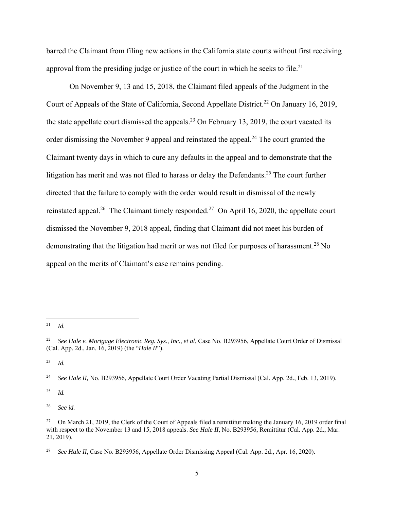barred the Claimant from filing new actions in the California state courts without first receiving approval from the presiding judge or justice of the court in which he seeks to file.<sup>21</sup>

 On November 9, 13 and 15, 2018, the Claimant filed appeals of the Judgment in the Court of Appeals of the State of California, Second Appellate District.<sup>22</sup> On January 16, 2019, the state appellate court dismissed the appeals.<sup>23</sup> On February 13, 2019, the court vacated its order dismissing the November 9 appeal and reinstated the appeal.<sup>24</sup> The court granted the Claimant twenty days in which to cure any defaults in the appeal and to demonstrate that the litigation has merit and was not filed to harass or delay the Defendants.<sup>25</sup> The court further directed that the failure to comply with the order would result in dismissal of the newly reinstated appeal.<sup>26</sup> The Claimant timely responded.<sup>27</sup> On April 16, 2020, the appellate court dismissed the November 9, 2018 appeal, finding that Claimant did not meet his burden of demonstrating that the litigation had merit or was not filed for purposes of harassment.<sup>28</sup> No appeal on the merits of Claimant's case remains pending.

23 *Id.* 

25 *Id.* 

26 *See id.*

 $^{21}$  *Id.* 

<sup>22</sup> *See Hale v. Mortgage Electronic Reg. Sys., Inc., et al*, Case No. B293956, Appellate Court Order of Dismissal (Cal. App. 2d., Jan. 16, 2019) (the "*Hale II*").

<sup>&</sup>lt;sup>24</sup> *See Hale II*, No. B293956, Appellate Court Order Vacating Partial Dismissal (Cal. App. 2d., Feb. 13, 2019).

<sup>&</sup>lt;sup>27</sup> On March 21, 2019, the Clerk of the Court of Appeals filed a remittitur making the January 16, 2019 order final with respect to the November 13 and 15, 2018 appeals. *See Hale II*, No. B293956, Remittitur (Cal. App. 2d., Mar. 21, 2019).

<sup>28</sup> *See Hale II*, Case No. B293956, Appellate Order Dismissing Appeal (Cal. App. 2d., Apr. 16, 2020).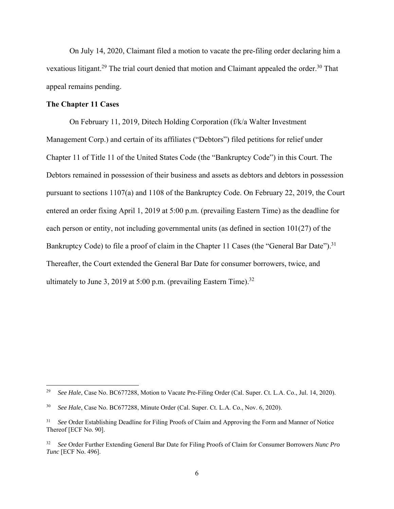On July 14, 2020, Claimant filed a motion to vacate the pre-filing order declaring him a vexatious litigant.<sup>29</sup> The trial court denied that motion and Claimant appealed the order.<sup>30</sup> That appeal remains pending.

### **The Chapter 11 Cases**

 On February 11, 2019, Ditech Holding Corporation (f/k/a Walter Investment Management Corp.) and certain of its affiliates ("Debtors") filed petitions for relief under Chapter 11 of Title 11 of the United States Code (the "Bankruptcy Code") in this Court. The Debtors remained in possession of their business and assets as debtors and debtors in possession pursuant to sections 1107(a) and 1108 of the Bankruptcy Code. On February 22, 2019, the Court entered an order fixing April 1, 2019 at 5:00 p.m. (prevailing Eastern Time) as the deadline for each person or entity, not including governmental units (as defined in section  $101(27)$  of the Bankruptcy Code) to file a proof of claim in the Chapter 11 Cases (the "General Bar Date").<sup>31</sup> Thereafter, the Court extended the General Bar Date for consumer borrowers, twice, and ultimately to June 3, 2019 at 5:00 p.m. (prevailing Eastern Time).<sup>32</sup>

<sup>&</sup>lt;sup>29</sup> *See Hale*, Case No. BC677288, Motion to Vacate Pre-Filing Order (Cal. Super. Ct. L.A. Co., Jul. 14, 2020).

<sup>30</sup> *See Hale*, Case No. BC677288, Minute Order (Cal. Super. Ct. L.A. Co., Nov. 6, 2020).

<sup>31</sup> *See* Order Establishing Deadline for Filing Proofs of Claim and Approving the Form and Manner of Notice Thereof [ECF No. 90].

<sup>32</sup> *See* Order Further Extending General Bar Date for Filing Proofs of Claim for Consumer Borrowers *Nunc Pro Tunc* [ECF No. 496].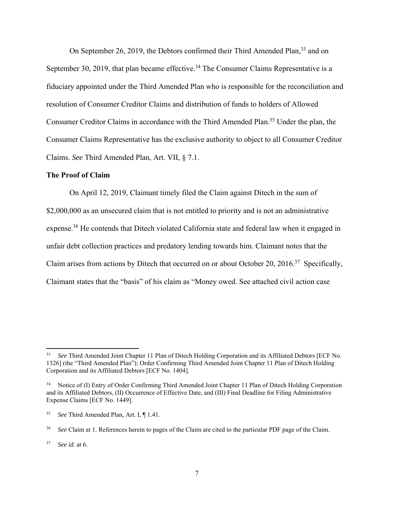On September 26, 2019, the Debtors confirmed their Third Amended Plan,<sup>33</sup> and on September 30, 2019, that plan became effective.<sup>34</sup> The Consumer Claims Representative is a fiduciary appointed under the Third Amended Plan who is responsible for the reconciliation and resolution of Consumer Creditor Claims and distribution of funds to holders of Allowed Consumer Creditor Claims in accordance with the Third Amended Plan.<sup>35</sup> Under the plan, the Consumer Claims Representative has the exclusive authority to object to all Consumer Creditor Claims. *See* Third Amended Plan, Art. VII, § 7.1.

#### **The Proof of Claim**

 On April 12, 2019, Claimant timely filed the Claim against Ditech in the sum of \$2,000,000 as an unsecured claim that is not entitled to priority and is not an administrative expense.<sup>36</sup> He contends that Ditech violated California state and federal law when it engaged in unfair debt collection practices and predatory lending towards him. Claimant notes that the Claim arises from actions by Ditech that occurred on or about October 20, 2016.37 Specifically, Claimant states that the "basis" of his claim as "Money owed. See attached civil action case

<sup>33</sup> *See* Third Amended Joint Chapter 11 Plan of Ditech Holding Corporation and its Affiliated Debtors [ECF No. 1326] (the "Third Amended Plan"); Order Confirming Third Amended Joint Chapter 11 Plan of Ditech Holding Corporation and its Affiliated Debtors [ECF No. 1404].

<sup>&</sup>lt;sup>34</sup> Notice of (I) Entry of Order Confirming Third Amended Joint Chapter 11 Plan of Ditech Holding Corporation and its Affiliated Debtors, (II) Occurrence of Effective Date, and (III) Final Deadline for Filing Administrative Expense Claims [ECF No. 1449].

<sup>35</sup> *See* Third Amended Plan*,* Art. I, ¶ 1.41.

<sup>36</sup> *See* Claim at 1. References herein to pages of the Claim are cited to the particular PDF page of the Claim.

<sup>37</sup> *See id.* at 6.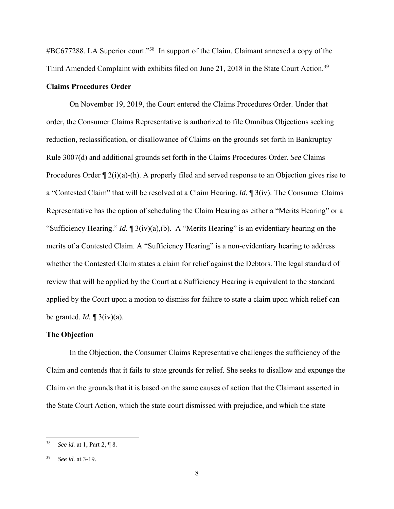#BC677288. LA Superior court."38 In support of the Claim, Claimant annexed a copy of the Third Amended Complaint with exhibits filed on June 21, 2018 in the State Court Action.<sup>39</sup>

### **Claims Procedures Order**

 On November 19, 2019, the Court entered the Claims Procedures Order. Under that order, the Consumer Claims Representative is authorized to file Omnibus Objections seeking reduction, reclassification, or disallowance of Claims on the grounds set forth in Bankruptcy Rule 3007(d) and additional grounds set forth in the Claims Procedures Order. *See* Claims Procedures Order  $\P$  2(i)(a)-(h). A properly filed and served response to an Objection gives rise to a "Contested Claim" that will be resolved at a Claim Hearing. *Id.* ¶ 3(iv). The Consumer Claims Representative has the option of scheduling the Claim Hearing as either a "Merits Hearing" or a "Sufficiency Hearing." *Id.* ¶ 3(iv)(a),(b). A "Merits Hearing" is an evidentiary hearing on the merits of a Contested Claim. A "Sufficiency Hearing" is a non-evidentiary hearing to address whether the Contested Claim states a claim for relief against the Debtors. The legal standard of review that will be applied by the Court at a Sufficiency Hearing is equivalent to the standard applied by the Court upon a motion to dismiss for failure to state a claim upon which relief can be granted. *Id.* ¶ 3(iv)(a).

### **The Objection**

 In the Objection, the Consumer Claims Representative challenges the sufficiency of the Claim and contends that it fails to state grounds for relief. She seeks to disallow and expunge the Claim on the grounds that it is based on the same causes of action that the Claimant asserted in the State Court Action, which the state court dismissed with prejudice, and which the state

<sup>38</sup> *See id.* at 1, Part 2, ¶ 8.

<sup>39</sup> *See id.* at 3-19.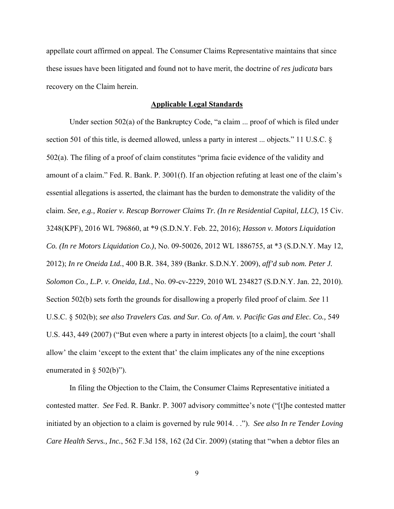appellate court affirmed on appeal. The Consumer Claims Representative maintains that since these issues have been litigated and found not to have merit, the doctrine of *res judicata* bars recovery on the Claim herein.

#### **Applicable Legal Standards**

 Under section 502(a) of the Bankruptcy Code, "a claim ... proof of which is filed under section 501 of this title, is deemed allowed, unless a party in interest ... objects." 11 U.S.C. § 502(a). The filing of a proof of claim constitutes "prima facie evidence of the validity and amount of a claim." Fed. R. Bank. P. 3001(f). If an objection refuting at least one of the claim's essential allegations is asserted, the claimant has the burden to demonstrate the validity of the claim. *See, e.g., Rozier v. Rescap Borrower Claims Tr. (In re Residential Capital, LLC)*, 15 Civ. 3248(KPF), 2016 WL 796860, at \*9 (S.D.N.Y. Feb. 22, 2016); *Hasson v. Motors Liquidation Co. (In re Motors Liquidation Co.)*, No. 09-50026, 2012 WL 1886755, at \*3 (S.D.N.Y. May 12, 2012); *In re Oneida Ltd.*, 400 B.R. 384, 389 (Bankr. S.D.N.Y. 2009), *aff'd sub nom. Peter J. Solomon Co., L.P. v. Oneida, Ltd.*, No. 09-cv-2229, 2010 WL 234827 (S.D.N.Y. Jan. 22, 2010). Section 502(b) sets forth the grounds for disallowing a properly filed proof of claim. *See* 11 U.S.C. § 502(b); *see also Travelers Cas. and Sur. Co. of Am. v. Pacific Gas and Elec. Co.,* 549 U.S. 443, 449 (2007) ("But even where a party in interest objects [to a claim], the court 'shall allow' the claim 'except to the extent that' the claim implicates any of the nine exceptions enumerated in § 502(b)").

 In filing the Objection to the Claim, the Consumer Claims Representative initiated a contested matter. *See* Fed. R. Bankr. P. 3007 advisory committee's note ("[t]he contested matter initiated by an objection to a claim is governed by rule 9014. . ."). *See also In re Tender Loving Care Health Servs., Inc.*, 562 F.3d 158, 162 (2d Cir. 2009) (stating that "when a debtor files an

9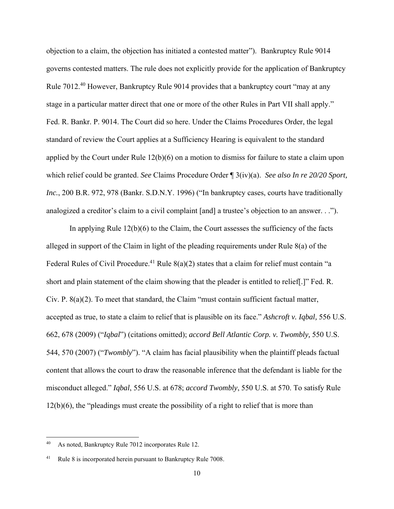objection to a claim, the objection has initiated a contested matter"). Bankruptcy Rule 9014 governs contested matters. The rule does not explicitly provide for the application of Bankruptcy Rule 7012.40 However, Bankruptcy Rule 9014 provides that a bankruptcy court "may at any stage in a particular matter direct that one or more of the other Rules in Part VII shall apply." Fed. R. Bankr. P. 9014. The Court did so here. Under the Claims Procedures Order, the legal standard of review the Court applies at a Sufficiency Hearing is equivalent to the standard applied by the Court under Rule 12(b)(6) on a motion to dismiss for failure to state a claim upon which relief could be granted. *See* Claims Procedure Order ¶ 3(iv)(a). *See also In re 20/20 Sport, Inc.*, 200 B.R. 972, 978 (Bankr. S.D.N.Y. 1996) ("In bankruptcy cases, courts have traditionally analogized a creditor's claim to a civil complaint [and] a trustee's objection to an answer. . .").

 In applying Rule 12(b)(6) to the Claim, the Court assesses the sufficiency of the facts alleged in support of the Claim in light of the pleading requirements under Rule 8(a) of the Federal Rules of Civil Procedure.<sup>41</sup> Rule  $8(a)(2)$  states that a claim for relief must contain "a short and plain statement of the claim showing that the pleader is entitled to relief[.]" Fed. R. Civ. P. 8(a)(2). To meet that standard, the Claim "must contain sufficient factual matter, accepted as true, to state a claim to relief that is plausible on its face." *Ashcroft v. Iqbal,* 556 U.S. 662, 678 (2009) ("*Iqbal*") (citations omitted); *accord Bell Atlantic Corp. v. Twombly,* 550 U.S. 544, 570 (2007) ("*Twombly*"). "A claim has facial plausibility when the plaintiff pleads factual content that allows the court to draw the reasonable inference that the defendant is liable for the misconduct alleged." *Iqbal*, 556 U.S. at 678; *accord Twombly*, 550 U.S. at 570. To satisfy Rule 12(b)(6), the "pleadings must create the possibility of a right to relief that is more than

<sup>40</sup> As noted, Bankruptcy Rule 7012 incorporates Rule 12.

Rule 8 is incorporated herein pursuant to Bankruptcy Rule 7008.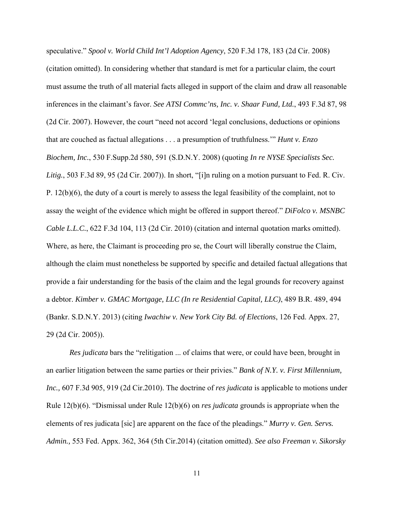speculative." *Spool v. World Child Int'l Adoption Agency*, 520 F.3d 178, 183 (2d Cir. 2008) (citation omitted). In considering whether that standard is met for a particular claim, the court must assume the truth of all material facts alleged in support of the claim and draw all reasonable inferences in the claimant's favor. *See ATSI Commc'ns, Inc. v. Shaar Fund, Ltd.*, 493 F.3d 87, 98 (2d Cir. 2007). However, the court "need not accord 'legal conclusions, deductions or opinions that are couched as factual allegations . . . a presumption of truthfulness.'" *Hunt v. Enzo Biochem, Inc.*, 530 F.Supp.2d 580, 591 (S.D.N.Y. 2008) (quoting *In re NYSE Specialists Sec. Litig.*, 503 F.3d 89, 95 (2d Cir. 2007)). In short, "[i]n ruling on a motion pursuant to Fed. R. Civ. P. 12(b)(6), the duty of a court is merely to assess the legal feasibility of the complaint, not to assay the weight of the evidence which might be offered in support thereof." *DiFolco v. MSNBC Cable L.L.C.*, 622 F.3d 104, 113 (2d Cir. 2010) (citation and internal quotation marks omitted). Where, as here, the Claimant is proceeding pro se, the Court will liberally construe the Claim, although the claim must nonetheless be supported by specific and detailed factual allegations that provide a fair understanding for the basis of the claim and the legal grounds for recovery against a debtor. *Kimber v. GMAC Mortgage, LLC (In re Residential Capital, LLC)*, 489 B.R. 489, 494 (Bankr. S.D.N.Y. 2013) (citing *Iwachiw v. New York City Bd. of Elections*, 126 Fed. Appx. 27, 29 (2d Cir. 2005)).

*Res judicata* bars the "relitigation ... of claims that were, or could have been, brought in an earlier litigation between the same parties or their privies." *Bank of N.Y. v. First Millennium, Inc.,* 607 F.3d 905, 919 (2d Cir.2010). The doctrine of *res judicata* is applicable to motions under Rule 12(b)(6). "Dismissal under Rule 12(b)(6) on *res judicata* grounds is appropriate when the elements of res judicata [sic] are apparent on the face of the pleadings." *Murry v. Gen. Servs. Admin.,* 553 Fed. Appx. 362, 364 (5th Cir.2014) (citation omitted). *See also Freeman v. Sikorsky*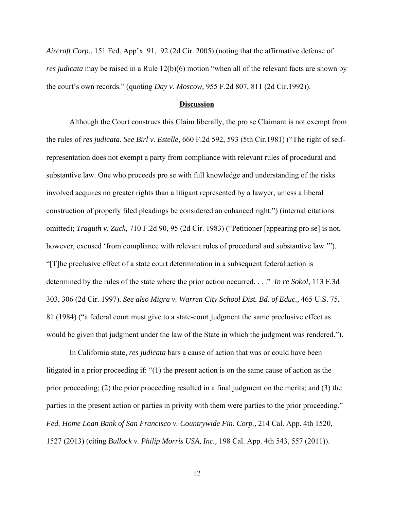*Aircraft Corp*., 151 Fed. App'x 91, 92 (2d Cir. 2005) (noting that the affirmative defense of *res judicata* may be raised in a Rule 12(b)(6) motion "when all of the relevant facts are shown by the court's own records." (quoting *Day v. Moscow,* 955 F.2d 807, 811 (2d Cir.1992)).

#### **Discussion**

 Although the Court construes this Claim liberally, the pro se Claimant is not exempt from the rules of *res judicata. See Birl v. Estelle,* 660 F.2d 592, 593 (5th Cir.1981) ("The right of selfrepresentation does not exempt a party from compliance with relevant rules of procedural and substantive law. One who proceeds pro se with full knowledge and understanding of the risks involved acquires no greater rights than a litigant represented by a lawyer, unless a liberal construction of properly filed pleadings be considered an enhanced right.") (internal citations omitted); *Traguth v. Zuck*, 710 F.2d 90, 95 (2d Cir. 1983) ("Petitioner [appearing pro se] is not, however, excused 'from compliance with relevant rules of procedural and substantive law.'"). "[T]he preclusive effect of a state court determination in a subsequent federal action is determined by the rules of the state where the prior action occurred. . . ." *In re Sokol*, 113 F.3d 303, 306 (2d Cir. 1997). *See also Migra v. Warren City School Dist. Bd. of Educ.,* 465 U.S. 75, 81 (1984) ("a federal court must give to a state-court judgment the same preclusive effect as would be given that judgment under the law of the State in which the judgment was rendered.").

 In California state, *res judicata* bars a cause of action that was or could have been litigated in a prior proceeding if: "(1) the present action is on the same cause of action as the prior proceeding; (2) the prior proceeding resulted in a final judgment on the merits; and (3) the parties in the present action or parties in privity with them were parties to the prior proceeding." *Fed. Home Loan Bank of San Francisco v. Countrywide Fin. Corp.,* 214 Cal. App. 4th 1520, 1527 (2013) (citing *Bullock v. Philip Morris USA, Inc.,* 198 Cal. App. 4th 543, 557 (2011)).

12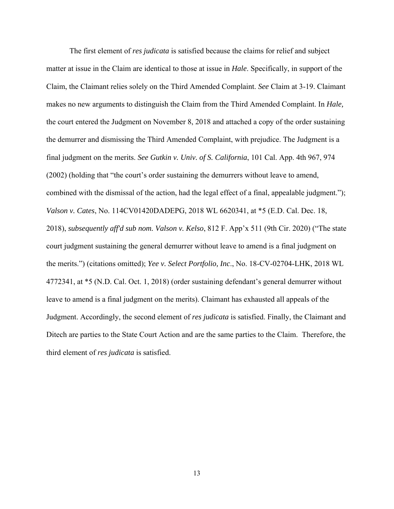The first element of *res judicata* is satisfied because the claims for relief and subject matter at issue in the Claim are identical to those at issue in *Hale*. Specifically, in support of the Claim, the Claimant relies solely on the Third Amended Complaint. *See* Claim at 3-19. Claimant makes no new arguments to distinguish the Claim from the Third Amended Complaint. In *Hale,*  the court entered the Judgment on November 8, 2018 and attached a copy of the order sustaining the demurrer and dismissing the Third Amended Complaint, with prejudice. The Judgment is a final judgment on the merits. *See Gutkin v. Univ. of S. California*, 101 Cal. App. 4th 967, 974 (2002) (holding that "the court's order sustaining the demurrers without leave to amend, combined with the dismissal of the action, had the legal effect of a final, appealable judgment."); *Valson v. Cates*, No. 114CV01420DADEPG, 2018 WL 6620341, at \*5 (E.D. Cal. Dec. 18, 2018), *subsequently aff'd sub nom. Valson v. Kelso*, 812 F. App'x 511 (9th Cir. 2020) ("The state court judgment sustaining the general demurrer without leave to amend is a final judgment on the merits.") (citations omitted); *Yee v. Select Portfolio, Inc*., No. 18-CV-02704-LHK, 2018 WL 4772341, at \*5 (N.D. Cal. Oct. 1, 2018) (order sustaining defendant's general demurrer without leave to amend is a final judgment on the merits). Claimant has exhausted all appeals of the Judgment. Accordingly, the second element of *res judicata* is satisfied. Finally, the Claimant and Ditech are parties to the State Court Action and are the same parties to the Claim. Therefore, the third element of *res judicata* is satisfied.